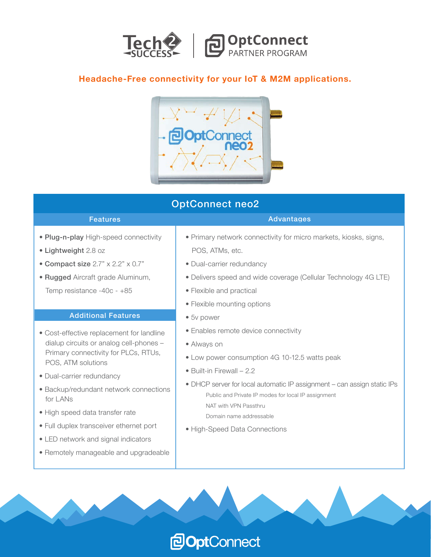

### **Headache-Free connectivity for your IoT & M2M applications.**



## OptConnect neo2

#### Features

- Plug-n-play High-speed connectivity
- Lightweight 2.8 oz
- Compact size 2.7" x 2.2" x 0.7"
- Rugged Aircraft grade Aluminum, Temp resistance -40c - +85

#### Additional Features

- Cost-effective replacement for landline dialup circuits or analog cell-phones – Primary connectivity for PLCs, RTUs, POS, ATM solutions
- Dual-carrier redundancy
- Backup/redundant network connections for LANs
- High speed data transfer rate
- Full duplex transceiver ethernet port
- LED network and signal indicators
- Remotely manageable and upgradeable

• Primary network connectivity for micro markets, kiosks, signs, POS, ATMs, etc.

**Advantages** 

- Dual-carrier redundancy
- Delivers speed and wide coverage (Cellular Technology 4G LTE)
- Flexible and practical
- Flexible mounting options
- 5v power
- Enables remote device connectivity
- Always on
- Low power consumption 4G 10-12.5 watts peak
- Built-in Firewall 2.2

**POptConnect** 

- DHCP server for local automatic IP assignment can assign static IPs Public and Private IP modes for local IP assignment NAT with VPN Passthru
	- Domain name addressable
- High-Speed Data Connections